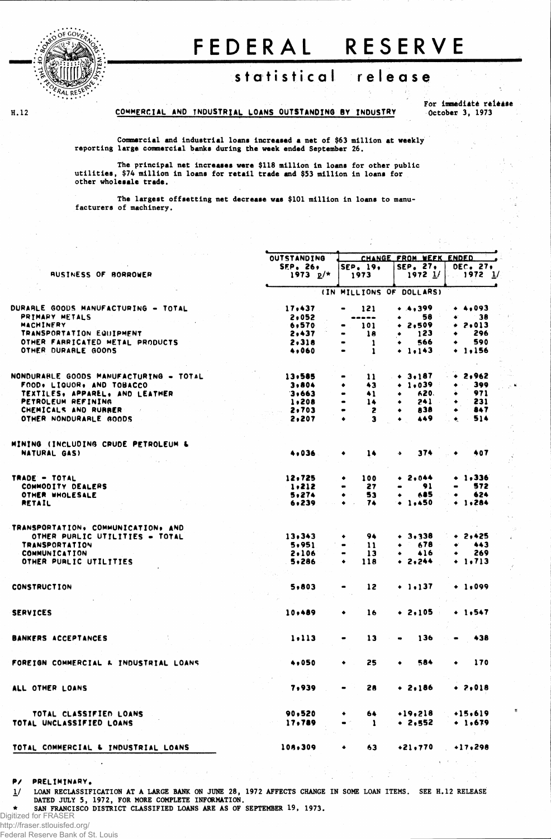

H.12

## FEDERAL RESERVE

## statistical release

COMMERCIAL AND INDUSTRIAL LOANS OUTSTANDING BY INDUSTRY

For immediate release October 3, 1973

 $\frac{3}{27}$ 

Commercial and industrial loans increased a net of \$63 million at weekly reporting large commercial banks during the week ended September 26.

The principal net increases were \$118 million in loans for other public utilities, \$74 million in loans for retail trade and \$53 million in loans for other wholesale trade.

The largest offsetting net decrease was \$101 million in loans to manufacturers of machinery.

|                                                |                          |  | <b>OUTSTANDING</b>       | CHANGE FROM WEEK ENDED                                                      |                     |                                               |  |  |  |  |
|------------------------------------------------|--------------------------|--|--------------------------|-----------------------------------------------------------------------------|---------------------|-----------------------------------------------|--|--|--|--|
|                                                |                          |  | <b>SEP. 26,</b>          | SEP. 19.                                                                    | SEP. 27.            | DEC. 27.                                      |  |  |  |  |
| <b>AUSINESS OF BORROWER</b>                    |                          |  | 1973 $p/*$               | 1973                                                                        | 1972 1/             | $1972 \t1$                                    |  |  |  |  |
|                                                |                          |  | (IN MILLIONS OF DOLLARS) |                                                                             |                     |                                               |  |  |  |  |
| DURARLE GOODS MANUFACTURING - TOTAL            |                          |  | 17,437                   | 121                                                                         | • ♦,३११             | $+ 4,093$                                     |  |  |  |  |
| PRIMARY METALS                                 |                          |  | 2,052                    | ----                                                                        | 58<br>٠             | 38                                            |  |  |  |  |
| MACHINERY                                      |                          |  | 6,570                    | 101                                                                         | 2,509<br>٠          | $+ 2,013$                                     |  |  |  |  |
| TRANSPORTATION EQUIPMENT                       |                          |  | 2,437                    | 18                                                                          | 123<br>٠            | 296                                           |  |  |  |  |
| OTHER FARRICATED METAL PRODUCTS                |                          |  | 2,318                    | 1<br>$\bullet$                                                              | 566<br>٠            | 590<br>۰                                      |  |  |  |  |
| OTHER DURABLE GOODS                            |                          |  | 4,060                    | 1                                                                           | $+ 1.143$           | $+ 1.156$                                     |  |  |  |  |
|                                                |                          |  |                          |                                                                             |                     |                                               |  |  |  |  |
| NONDURARLE GOODS MANUFACTURING = TOTAL         |                          |  | 13,585                   | 11                                                                          | $+ 3.187$           | 2,962                                         |  |  |  |  |
| FOOD, LIQUOR, AND TOBACCO                      |                          |  | 3,804                    | 43<br>٠                                                                     | $+1.039$            | 399                                           |  |  |  |  |
| TEXTILES, APPAREL, AND LEATHER                 |                          |  | 3,663                    | 41<br>$\bullet$                                                             | 620.                | 971                                           |  |  |  |  |
| PETROLEUM REFINING                             |                          |  | 1,208                    | 14<br>$\bullet$                                                             | 241<br>٠            | 231<br>٠                                      |  |  |  |  |
| CHEMICALS AND RUBBER<br>OTHER NONDURABLE GOODS |                          |  | 2,703<br>2,207           | 2<br>э<br>٠                                                                 | 838<br>٠<br>449     | 847<br>514<br>$\bullet$                       |  |  |  |  |
|                                                |                          |  |                          |                                                                             |                     |                                               |  |  |  |  |
| MINING (INCLUDING CRUDE PETROLEUM &            |                          |  |                          |                                                                             |                     |                                               |  |  |  |  |
| NATURAL GAS)                                   |                          |  | 4,036                    | 14<br>٠                                                                     | 374<br>$\bullet$    | 407                                           |  |  |  |  |
| TRADE - TOTAL                                  |                          |  | 12,725                   | 100<br>٠                                                                    | $+ 2.044$           | $+ 1,336$                                     |  |  |  |  |
| COMMODITY DEALERS                              |                          |  | 1,212                    | 27<br>$\qquad \qquad \blacksquare$                                          | 91                  | 572                                           |  |  |  |  |
| OTHER WHOLESALE                                |                          |  | 5.274                    | 53<br>٠                                                                     | 685<br>٠            | 624<br>۰                                      |  |  |  |  |
| <b>RETAIL</b>                                  |                          |  | 6,239                    | 74                                                                          | $+ 1.450$           | $+ 1.284$                                     |  |  |  |  |
| TRANSPORTATION, COMMUNICATION, AND             |                          |  |                          |                                                                             |                     |                                               |  |  |  |  |
|                                                |                          |  |                          | 94                                                                          |                     | $+ 2,425$                                     |  |  |  |  |
| OTHER PURLIC UTILITIES = TOTAL                 |                          |  | 13,343                   | ٠                                                                           | $+ 3,338$<br>678    | 443                                           |  |  |  |  |
| <b>TRANSPORTATION</b>                          |                          |  | 5,951                    | $\mathbf{11}$<br>$\bullet$                                                  |                     | 269<br>٠                                      |  |  |  |  |
| <b>COMMUNICATION</b>                           |                          |  | 2,106                    | 13<br>$\qquad \qquad \blacksquare$<br>$\bullet$                             | 416<br>٠            |                                               |  |  |  |  |
| OTHER PURLIC UTILITIES                         |                          |  | 5,286                    | 118                                                                         | $+ 2, 244$          | $+ 1.713$                                     |  |  |  |  |
|                                                |                          |  |                          |                                                                             |                     |                                               |  |  |  |  |
| <b>CONSTRUCTION</b>                            |                          |  | 5,803                    | 12                                                                          | $+ 1.137$           | $+ 1,099$                                     |  |  |  |  |
| <b>SERVICES</b>                                |                          |  | 10,489                   | 16                                                                          | $+2,105$            | $+ 1,547$                                     |  |  |  |  |
|                                                |                          |  |                          |                                                                             |                     |                                               |  |  |  |  |
| <b>BANKERS ACCEPTANCES</b>                     |                          |  | 1.113                    | 13                                                                          | 136                 | 438                                           |  |  |  |  |
| FOREIGN COMMERCIAL & INDUSTRIAL LOANS          |                          |  | 4,050                    | 25                                                                          | 584                 | 170                                           |  |  |  |  |
| ALL OTHER LOANS                                | <b>Contract Contract</b> |  | 7,939                    | 28<br>$\mathbf{m}^{\prime}$ , $\mathbf{m}^{\prime}$ , $\mathbf{m}^{\prime}$ | $+ 2.186$           | $+ 2,018$                                     |  |  |  |  |
|                                                |                          |  |                          |                                                                             |                     |                                               |  |  |  |  |
| TOTAL CLASSIFIED LOANS                         |                          |  | 90,520                   | 64 -<br>$\bullet$                                                           | $+19,218$ $+15,619$ |                                               |  |  |  |  |
| TOTAL UNCLASSIFIED LOANS                       |                          |  | 17.789                   | $\bullet$ $^{\prime\prime}$ .<br>$\mathbf{1}$                               | $\bullet$ 2,552     | $+1,679$<br>$\mathcal{X} \subset \mathcal{X}$ |  |  |  |  |
| TOTAL COMMERCIAL & INDUSTRIAL LOANS            |                          |  | 108.309                  | 63<br>٠                                                                     | $+21.770 + 17.298$  |                                               |  |  |  |  |
|                                                |                          |  |                          |                                                                             |                     |                                               |  |  |  |  |

PRELIMINARY. Р/

LOAN RECLASSIFICATION AT A LARGE BANK ON JUNE 28, 1972 AFFECTS CHANGE IN SOME LOAN ITEMS. SEE H.12 RELEASE  $1/$ DATED JULY 5, 1972, FOR MORE COMPLETE INFORMATION.

SAN FRANCISCO DISTRICT CLASSIFIED LOANS ARE AS OF SEPTEMBER 19, 1973.  $\bullet$ 

Digitized for FRASER

http://fraser.stlouisfed.org/

Federal Reserve Bank of St. Louis